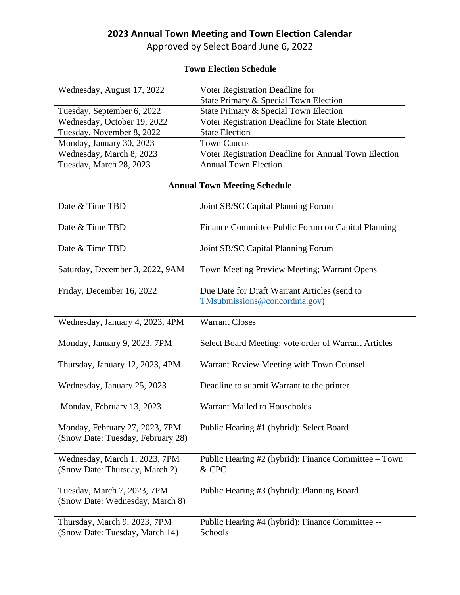## **2023 Annual Town Meeting and Town Election Calendar**

Approved by Select Board June 6, 2022

## **Town Election Schedule**

| Wednesday, August 17, 2022  | Voter Registration Deadline for                      |
|-----------------------------|------------------------------------------------------|
|                             | State Primary & Special Town Election                |
| Tuesday, September 6, 2022  | State Primary & Special Town Election                |
| Wednesday, October 19, 2022 | Voter Registration Deadline for State Election       |
| Tuesday, November 8, 2022   | <b>State Election</b>                                |
| Monday, January 30, 2023    | <b>Town Caucus</b>                                   |
| Wednesday, March 8, 2023    | Voter Registration Deadline for Annual Town Election |
| Tuesday, March 28, 2023     | <b>Annual Town Election</b>                          |

## **Annual Town Meeting Schedule**

| Date & Time TBD                                                     | Joint SB/SC Capital Planning Forum                                           |
|---------------------------------------------------------------------|------------------------------------------------------------------------------|
| Date & Time TBD                                                     | Finance Committee Public Forum on Capital Planning                           |
| Date & Time TBD                                                     | Joint SB/SC Capital Planning Forum                                           |
| Saturday, December 3, 2022, 9AM                                     | Town Meeting Preview Meeting; Warrant Opens                                  |
| Friday, December 16, 2022                                           | Due Date for Draft Warrant Articles (send to<br>TMsubmissions@concordma.gov) |
| Wednesday, January 4, 2023, 4PM                                     | <b>Warrant Closes</b>                                                        |
| Monday, January 9, 2023, 7PM                                        | Select Board Meeting: vote order of Warrant Articles                         |
| Thursday, January 12, 2023, 4PM                                     | Warrant Review Meeting with Town Counsel                                     |
| Wednesday, January 25, 2023                                         | Deadline to submit Warrant to the printer                                    |
| Monday, February 13, 2023                                           | Warrant Mailed to Households                                                 |
| Monday, February 27, 2023, 7PM<br>(Snow Date: Tuesday, February 28) | Public Hearing #1 (hybrid): Select Board                                     |
| Wednesday, March 1, 2023, 7PM<br>(Snow Date: Thursday, March 2)     | Public Hearing #2 (hybrid): Finance Committee – Town<br>& CPC                |
| Tuesday, March 7, 2023, 7PM<br>(Snow Date: Wednesday, March 8)      | Public Hearing #3 (hybrid): Planning Board                                   |
| Thursday, March 9, 2023, 7PM<br>(Snow Date: Tuesday, March 14)      | Public Hearing #4 (hybrid): Finance Committee --<br>Schools                  |